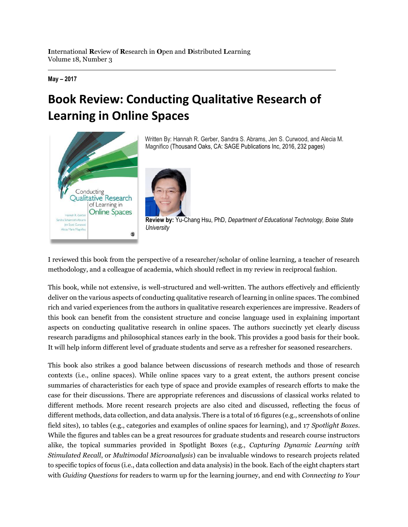**May – 2017**

## **Book Review: Conducting Qualitative Research of Learning in Online Spaces**



Written By: Hannah R. Gerber, Sandra S. Abrams, Jen S. Curwood, and Alecia M. Magnifico (Thousand Oaks, CA: SAGE Publications Inc, 2016, 232 pages)



**Review by:** Yu-Chang Hsu, PhD, *Department of Educational Technology, Boise State University*

I reviewed this book from the perspective of a researcher/scholar of online learning, a teacher of research methodology, and a colleague of academia, which should reflect in my review in reciprocal fashion.

This book, while not extensive, is well-structured and well-written. The authors effectively and efficiently deliver on the various aspects of conducting qualitative research of learning in online spaces. The combined rich and varied experiences from the authors in qualitative research experiences are impressive. Readers of this book can benefit from the consistent structure and concise language used in explaining important aspects on conducting qualitative research in online spaces. The authors succinctly yet clearly discuss research paradigms and philosophical stances early in the book. This provides a good basis for their book. It will help inform different level of graduate students and serve as a refresher for seasoned researchers.

This book also strikes a good balance between discussions of research methods and those of research contexts (i.e., online spaces). While online spaces vary to a great extent, the authors present concise summaries of characteristics for each type of space and provide examples of research efforts to make the case for their discussions. There are appropriate references and discussions of classical works related to different methods. More recent research projects are also cited and discussed, reflecting the focus of different methods, data collection, and data analysis. There is a total of 16 figures (e.g., screenshots of online field sites), 10 tables (e.g., categories and examples of online spaces for learning), and 17 *Spotlight Boxes*. While the figures and tables can be a great resources for graduate students and research course instructors alike, the topical summaries provided in Spotlight Boxes (e.g., *Capturing Dynamic Learning with Stimulated Recall*, or *Multimodal Microanalysis*) can be invaluable windows to research projects related to specific topics of focus (i.e., data collection and data analysis) in the book. Each of the eight chapters start with *Guiding Questions* for readers to warm up for the learning journey, and end with *Connecting to Your*